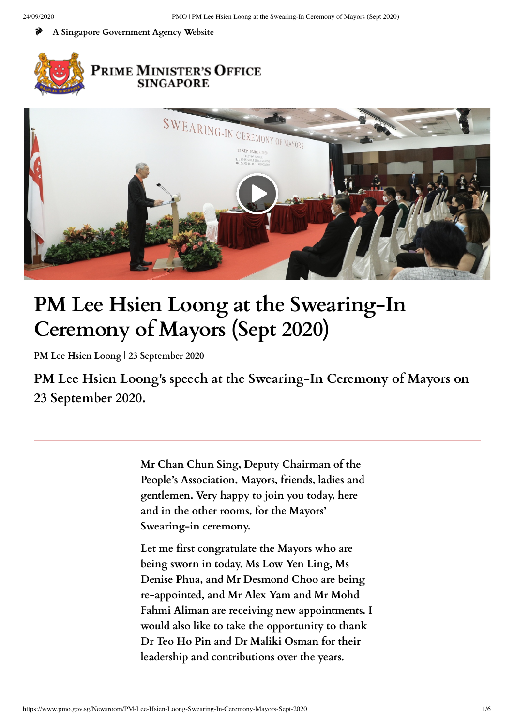**[A Singapore Government Agency Website](https://www.gov.sg/)**





# **PM Lee Hsien Loong at the Swearing-In Ceremony of Mayors (Sept 2020)**

**[PM Lee Hsien Loong](https://www.pmo.gov.sg/cabinet/Mr-LEE-Hsien-Loong) | 23 September 2020** 

**PM Lee Hsien Loong's speech at the Swearing-In Ceremony of Mayors on 23 September 2020.**

> **Mr Chan Chun Sing, Deputy Chairman of the People's Association, Mayors, friends, ladies and gentlemen. Very happy to join you today, here and in the other rooms, for the Mayors' Swearing-in ceremony.**

**Let me first congratulate the Mayors who are being sworn in today. Ms Low Yen Ling, Ms Denise Phua, and Mr Desmond Choo are being re-appointed, and Mr Alex Yam and Mr Mohd Fahmi Aliman are receiving new appointments. I would also like to take the opportunity to thank Dr Teo Ho Pin and Dr Maliki Osman for their leadership and contributions over the years.**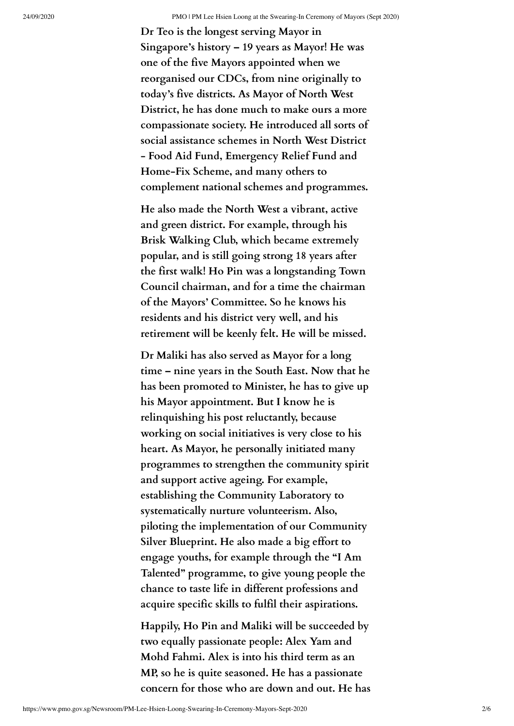**Dr Teo is the longest serving Mayor in Singapore's history – 19 years as Mayor! He was one of the five Mayors appointed when we reorganised our CDCs, from nine originally to today's five districts. As Mayor of North West District, he has done much to make ours a more compassionate society. He introduced all sorts of social assistance schemes in North West District - Food Aid Fund, Emergency Relief Fund and Home-Fix Scheme, and many others to complement national schemes and programmes.**

**He also made the North West a vibrant, active and green district. For example, through his Brisk Walking Club, which became extremely popular, and is still going strong 18 years after the first walk! Ho Pin was a longstanding Town Council chairman, and for a time the chairman of the Mayors' Committee. So he knows his residents and his district very well, and his retirement will be keenly felt. He will be missed.**

**Dr Maliki has also served as Mayor for a long time – nine years in the South East. Now that he has been promoted to Minister, he has to give up his Mayor appointment. But I know he is relinquishing his post reluctantly, because working on social initiatives is very close to his heart. As Mayor, he personally initiated many programmes to strengthen the community spirit and support active ageing. For example, establishing the Community Laboratory to systematically nurture volunteerism. Also, piloting the implementation of our Community Silver Blueprint. He also made a big effort to engage youths, for example through the "I Am Talented" programme, to give young people the chance to taste life in different professions and acquire specific skills to fulfil their aspirations.**

**Happily, Ho Pin and Maliki will be succeeded by two equally passionate people: Alex Yam and Mohd Fahmi. Alex is into his third term as an MP, so he is quite seasoned. He has a passionate concern for those who are down and out. He has**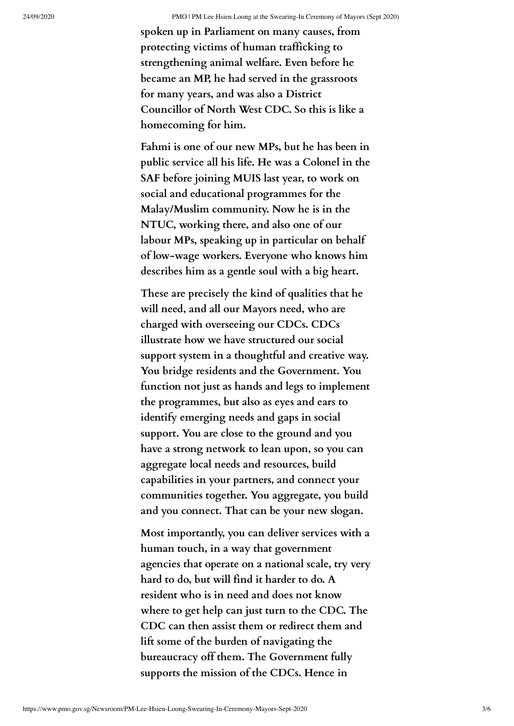**spoken up in Parliament on many causes, from protecting victims of human trafficking to strengthening animal welfare. Even before he became an MP, he had served in the grassroots for many years, and was also a District Councillor of North West CDC. So this is like a homecoming for him.**

**Fahmi is one of our new MPs, but he has been in public service all his life. He was a Colonel in the SAF before joining MUIS last year, to work on social and educational programmes for the Malay/Muslim community. Now he is in the NTUC, working there, and also one of our labour MPs, speaking up in particular on behalf of low-wage workers. Everyone who knows him describes him as a gentle soul with a big heart.**

**These are precisely the kind of qualities that he will need, and all our Mayors need, who are charged with overseeing our CDCs. CDCs illustrate how we have structured our social support system in a thoughtful and creative way. You bridge residents and the Government. You function not just as hands and legs to implement the programmes, but also as eyes and ears to identify emerging needs and gaps in social support. You are close to the ground and you have a strong network to lean upon, so you can aggregate local needs and resources, build capabilities in your partners, and connect your communities together. You aggregate, you build and you connect. That can be your new slogan.**

**Most importantly, you can deliver services with a human touch, in a way that government agencies that operate on a national scale, try very hard to do, but will find it harder to do. A resident who is in need and does not know where to get help can just turn to the CDC. The CDC can then assist them or redirect them and lift some of the burden of navigating the bureaucracy off them. The Government fully supports the mission of the CDCs. Hence in**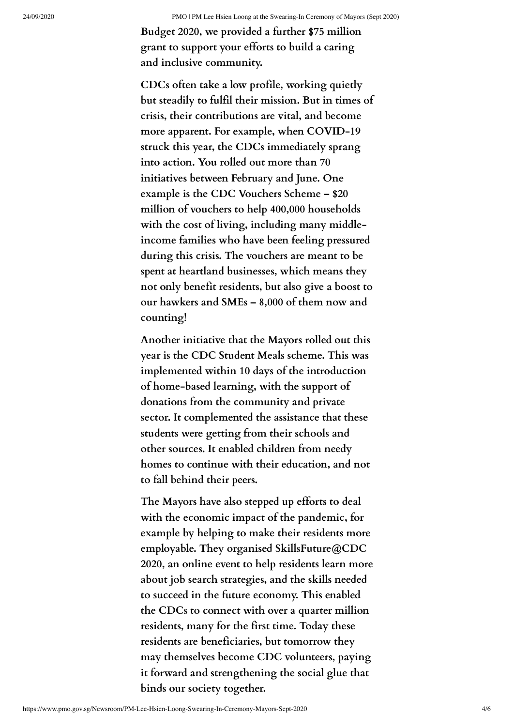**Budget 2020, we provided a further \$75 million grant to support your efforts to build a caring and inclusive community.**

**CDCs often take a low profile, working quietly but steadily to fulfil their mission. But in times of crisis, their contributions are vital, and become more apparent. For example, when COVID-19 struck this year, the CDCs immediately sprang into action. You rolled out more than 70 initiatives between February and June. One example is the CDC Vouchers Scheme – \$20 million of vouchers to help 400,000 households with the cost of living, including many middleincome families who have been feeling pressured during this crisis. The vouchers are meant to be spent at heartland businesses, which means they not only benefit residents, but also give a boost to our hawkers and SMEs – 8,000 of them now and counting!**

**Another initiative that the Mayors rolled out this year is the CDC Student Meals scheme. This was implemented within 10 days of the introduction of home-based learning, with the support of donations from the community and private sector. It complemented the assistance that these students were getting from their schools and other sources. It enabled children from needy homes to continue with their education, and not to fall behind their peers.**

**The Mayors have also stepped up efforts to deal with the economic impact of the pandemic, for example by helping to make their residents more employable. They organised SkillsFuture@CDC 2020, an online event to help residents learn more about job search strategies, and the skills needed to succeed in the future economy. This enabled the CDCs to connect with over a quarter million residents, many for the first time. Today these residents are beneficiaries, but tomorrow they may themselves become CDC volunteers, paying it forward and strengthening the social glue that binds our society together.**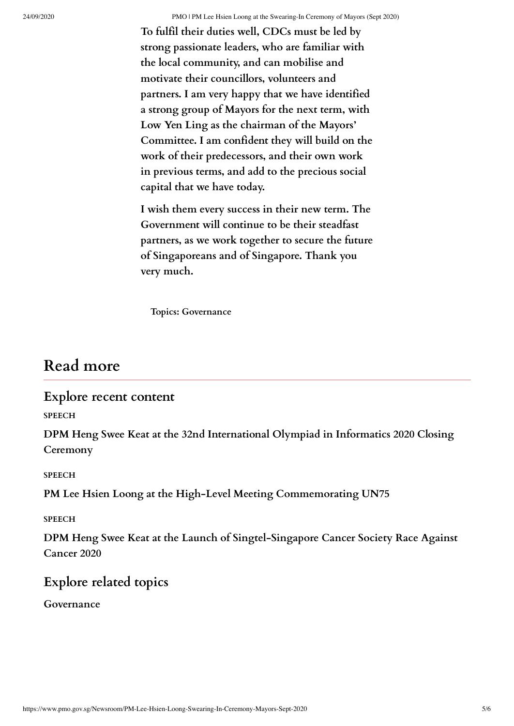**To fulfil their duties well, CDCs must be led by strong passionate leaders, who are familiar with the local community, and can mobilise and motivate their councillors, volunteers and partners. I am very happy that we have identified a strong group of Mayors for the next term, with Low Yen Ling as the chairman of the Mayors' Committee. I am confident they will build on the work of their predecessors, and their own work in previous terms, and add to the precious social capital that we have today.**

**I wish them every success in their new term. The Government will continue to be their steadfast partners, as we work together to secure the future of Singaporeans and of Singapore. Thank you very much.**

**Topics: [Governance](https://www.pmo.gov.sg/Topics/Governance)**

### **Read more**

#### **Explore recent content**

**SPEECH**

**[DPM Heng Swee Keat at the 32nd International Olympiad in Informatics 2020 Closing](https://www.pmo.gov.sg/Newsroom/DPM-Heng-Swee-Keat-at-the-32nd-International-Olympiad-in-Informatics-2020-Closing-Ceremony) Ceremony**

**SPEECH**

**[PM Lee Hsien Loong at the High-Level Meeting Commemorating UN75](https://www.pmo.gov.sg/Newsroom/PM-Lee-Hsien-Loong-at-the-High-Level-Meeting-Commemorating-UN75)**

**SPEECH**

**[DPM Heng Swee Keat at the Launch of Singtel-Singapore Cancer Society Race Against](https://www.pmo.gov.sg/Newsroom/DPM-Heng-at-the-Launch-of-Singtel-Singapore-Cancer-Society-Race-Against-Cancer-2020) Cancer 2020**

#### **Explore related topics**

**[Governance](https://www.pmo.gov.sg/Topics/Governance)**